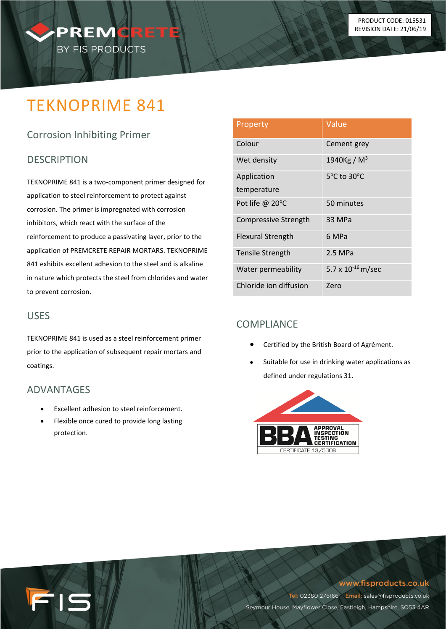# TEKNOPRIME 841

PREMORET

BY FIS PRODUCTS

# Corrosion Inhibiting Primer

## **DESCRIPTION**

TEKNOPRIME 841 is a two-component primer designed for application to steel reinforcement to protect against corrosion. The primer is impregnated with corrosion inhibitors, which react with the surface of the reinforcement to produce a passivating layer, prior to the application of PREMCRETE REPAIR MORTARS. TEKNOPRIME 841 exhibits excellent adhesion to the steel and is alkaline in nature which protects the steel from chlorides and water to prevent corrosion.

#### USES

TEKNOPRIME 841 is used as a steel reinforcement primer prior to the application of subsequent repair mortars and coatings.

### ADVANTAGES

15

- Excellent adhesion to steel reinforcement.
- Flexible once cured to provide long lasting protection.

| Property                    | Value                   |
|-----------------------------|-------------------------|
| Colour                      | Cement grey             |
| Wet density                 | 1940Kg / M <sup>3</sup> |
| Application                 | 5°C to 30°C             |
| temperature                 |                         |
| Pot life @ 20°C             | 50 minutes              |
| <b>Compressive Strength</b> | 33 MPa                  |
| <b>Flexural Strength</b>    | 6 MPa                   |
| Tensile Strength            | 2.5 MPa                 |
| Water permeability          | 5.7 x $10^{-16}$ m/sec  |
| Chloride ion diffusion      | Zero                    |

# COMPLIANCE

- Certified by the British Board of Agrément.
- Suitable for use in drinking water applications as defined under regulations 31.



#### www.fisproducts.co.uk

Tel: 02380 276166 Email: sales@fisproducts.co.uk Seymour House, Mayflower Close, Eastleigh, Hampshire, SO53 4AR